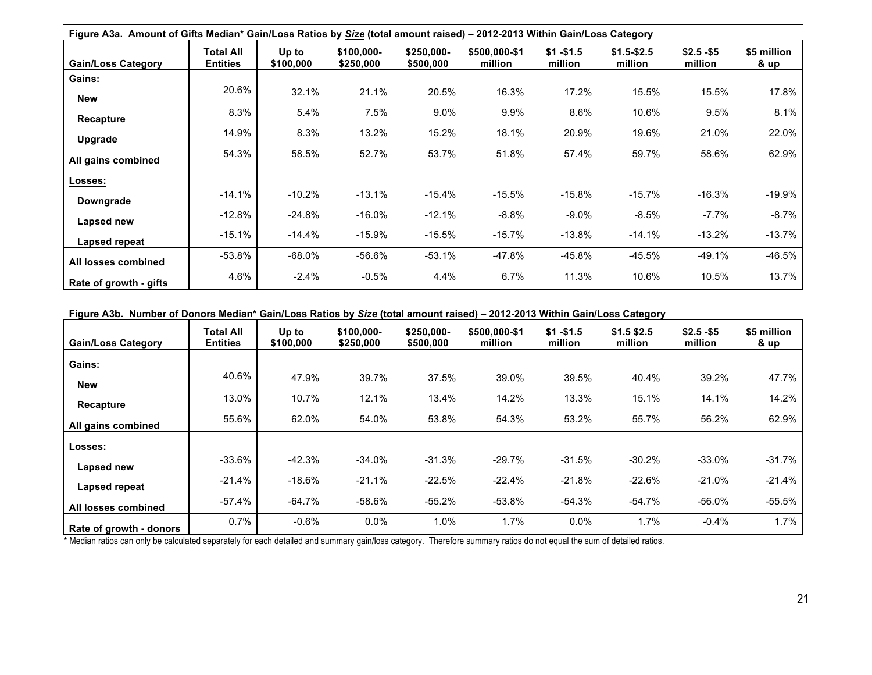| Figure A3a. Amount of Gifts Median* Gain/Loss Ratios by Size (total amount raised) – 2012-2013 Within Gain/Loss Category |                              |                    |                         |                          |                          |                        |                          |                        |                                |
|--------------------------------------------------------------------------------------------------------------------------|------------------------------|--------------------|-------------------------|--------------------------|--------------------------|------------------------|--------------------------|------------------------|--------------------------------|
| <b>Gain/Loss Category</b>                                                                                                | Total All<br><b>Entities</b> | Up to<br>\$100,000 | \$100,000-<br>\$250,000 | $$250,000-$<br>\$500,000 | \$500,000-\$1<br>million | $$1 - $1.5$<br>million | $$1.5 - $2.5$<br>million | $$2.5 - $5$<br>million | \$5 million<br><u>&amp; up</u> |
| Gains:                                                                                                                   |                              |                    |                         |                          |                          |                        |                          |                        |                                |
| <b>New</b>                                                                                                               | 20.6%                        | 32.1%              | 21.1%                   | 20.5%                    | 16.3%                    | 17.2%                  | 15.5%                    | 15.5%                  | 17.8%                          |
| Recapture                                                                                                                | 8.3%                         | 5.4%               | 7.5%                    | $9.0\%$                  | 9.9%                     | $8.6\%$                | 10.6%                    | 9.5%                   | 8.1%                           |
| Upgrade                                                                                                                  | 14.9%                        | 8.3%               | 13.2%                   | 15.2%                    | 18.1%                    | 20.9%                  | 19.6%                    | 21.0%                  | 22.0%                          |
| All gains combined                                                                                                       | 54.3%                        | 58.5%              | 52.7%                   | 53.7%                    | 51.8%                    | 57.4%                  | 59.7%                    | 58.6%                  | 62.9%                          |
| Losses:                                                                                                                  |                              |                    |                         |                          |                          |                        |                          |                        |                                |
| Downgrade                                                                                                                | $-14.1\%$                    | $-10.2%$           | $-13.1%$                | $-15.4%$                 | $-15.5%$                 | $-15.8%$               | $-15.7%$                 | $-16.3%$               | -19.9%                         |
| Lapsed new                                                                                                               | $-12.8\%$                    | $-24.8\%$          | $-16.0%$                | $-12.1%$                 | $-8.8\%$                 | $-9.0\%$               | $-8.5\%$                 | $-7.7%$                | $-8.7\%$                       |
| Lapsed repeat                                                                                                            | $-15.1%$                     | $-14.4%$           | $-15.9%$                | $-15.5%$                 | $-15.7%$                 | $-13.8%$               | $-14.1%$                 | $-13.2%$               | $-13.7%$                       |
| All losses combined                                                                                                      | -53.8%                       | $-68.0\%$          | -56.6%                  | $-53.1%$                 | -47.8%                   | -45.8%                 | -45.5%                   | $-49.1%$               | -46.5%                         |
| Rate of growth - gifts                                                                                                   | 4.6%                         | $-2.4%$            | $-0.5%$                 | 4.4%                     | 6.7%                     | 11.3%                  | 10.6%                    | 10.5%                  | 13.7%                          |

| Figure A3b. Number of Donors Median* Gain/Loss Ratios by Size (total amount raised) - 2012-2013 Within Gain/Loss Category |                              |                    |                         |                         |                          |                        |                         |                        |                     |
|---------------------------------------------------------------------------------------------------------------------------|------------------------------|--------------------|-------------------------|-------------------------|--------------------------|------------------------|-------------------------|------------------------|---------------------|
| <b>Gain/Loss Category</b>                                                                                                 | Total All<br><b>Entities</b> | Up to<br>\$100,000 | \$100,000-<br>\$250,000 | \$250,000-<br>\$500,000 | \$500,000-\$1<br>million | $$1 - $1.5$<br>million | $$1.5$ \$2.5<br>million | $$2.5 - $5$<br>million | \$5 million<br>& up |
| Gains:                                                                                                                    |                              |                    |                         |                         |                          |                        |                         |                        |                     |
| <b>New</b>                                                                                                                | 40.6%                        | 47.9%              | 39.7%                   | 37.5%                   | 39.0%                    | 39.5%                  | 40.4%                   | 39.2%                  | 47.7%               |
| <b>Recapture</b>                                                                                                          | 13.0%                        | 10.7%              | 12.1%                   | 13.4%                   | 14.2%                    | 13.3%                  | 15.1%                   | 14.1%                  | 14.2%               |
| All gains combined                                                                                                        | 55.6%                        | 62.0%              | 54.0%                   | 53.8%                   | 54.3%                    | 53.2%                  | 55.7%                   | 56.2%                  | 62.9%               |
| Losses:                                                                                                                   |                              |                    |                         |                         |                          |                        |                         |                        |                     |
| Lapsed new                                                                                                                | $-33.6%$                     | $-42.3%$           | $-34.0%$                | $-31.3\%$               | $-29.7%$                 | $-31.5%$               | $-30.2%$                | $-33.0%$               | -31.7%              |
| Lapsed repeat                                                                                                             | $-21.4%$                     | $-18.6%$           | $-21.1%$                | $-22.5%$                | $-22.4%$                 | $-21.8%$               | $-22.6%$                | $-21.0\%$              | $-21.4%$            |
| All losses combined                                                                                                       | $-57.4%$                     | $-64.7\%$          | $-58.6%$                | $-55.2%$                | $-53.8%$                 | $-54.3%$               | $-54.7%$                | $-56.0%$               | -55.5%              |
| Rate of growth - donors                                                                                                   | 0.7%                         | $-0.6%$            | 0.0%                    | $1.0\%$                 | 1.7%                     | 0.0%                   | 1.7%                    | $-0.4%$                | 1.7%                |

\* Median ratios can only be calculated separately for each detailed and summary gain/loss category. Therefore summary ratios do not equal the sum of detailed ratios.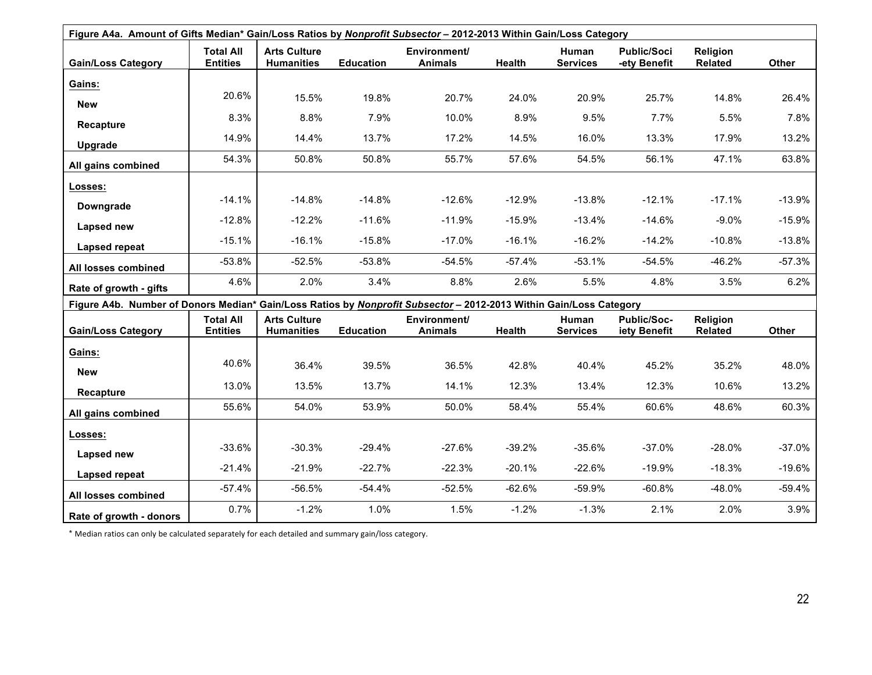| Figure A4a. Amount of Gifts Median* Gain/Loss Ratios by Nonprofit Subsector - 2012-2013 Within Gain/Loss Category  |                                     |                                          |                  |                                       |               |                          |                                    |                            |          |
|--------------------------------------------------------------------------------------------------------------------|-------------------------------------|------------------------------------------|------------------|---------------------------------------|---------------|--------------------------|------------------------------------|----------------------------|----------|
| <b>Gain/Loss Category</b>                                                                                          | <b>Total All</b><br><b>Entities</b> | <b>Arts Culture</b><br><b>Humanities</b> | <b>Education</b> | <b>Environment/</b><br><b>Animals</b> | Health        | Human<br><b>Services</b> | <b>Public/Soci</b><br>-ety Benefit | Religion<br>Related        | Other    |
| Gains:                                                                                                             |                                     |                                          |                  |                                       |               |                          |                                    |                            |          |
| <b>New</b>                                                                                                         | 20.6%                               | 15.5%                                    | 19.8%            | 20.7%                                 | 24.0%         | 20.9%                    | 25.7%                              | 14.8%                      | 26.4%    |
| <b>Recapture</b>                                                                                                   | 8.3%                                | 8.8%                                     | 7.9%             | 10.0%                                 | 8.9%          | 9.5%                     | 7.7%                               | 5.5%                       | 7.8%     |
| Upgrade                                                                                                            | 14.9%                               | 14.4%                                    | 13.7%            | 17.2%                                 | 14.5%         | 16.0%                    | 13.3%                              | 17.9%                      | 13.2%    |
| All gains combined                                                                                                 | 54.3%                               | 50.8%                                    | 50.8%            | 55.7%                                 | 57.6%         | 54.5%                    | 56.1%                              | 47.1%                      | 63.8%    |
|                                                                                                                    |                                     |                                          |                  |                                       |               |                          |                                    |                            |          |
| Losses:                                                                                                            | $-14.1%$                            | $-14.8%$                                 | $-14.8%$         | $-12.6%$                              | $-12.9%$      | $-13.8%$                 | $-12.1%$                           | $-17.1%$                   | $-13.9%$ |
| Downgrade                                                                                                          | $-12.8%$                            | $-12.2%$                                 | $-11.6%$         | $-11.9%$                              | $-15.9%$      | $-13.4%$                 | $-14.6%$                           | $-9.0%$                    | $-15.9%$ |
| <b>Lapsed new</b>                                                                                                  | $-15.1%$                            | $-16.1%$                                 | $-15.8%$         | $-17.0%$                              | $-16.1%$      | $-16.2%$                 | $-14.2%$                           | $-10.8%$                   | $-13.8%$ |
| Lapsed repeat                                                                                                      |                                     |                                          |                  |                                       |               |                          |                                    |                            |          |
| All losses combined                                                                                                | $-53.8%$                            | $-52.5%$                                 | $-53.8%$         | $-54.5%$                              | $-57.4%$      | $-53.1%$                 | $-54.5%$                           | $-46.2%$                   | $-57.3%$ |
| Rate of growth - gifts                                                                                             | 4.6%                                | 2.0%                                     | 3.4%             | 8.8%                                  | 2.6%          | 5.5%                     | 4.8%                               | 3.5%                       | 6.2%     |
| Figure A4b. Number of Donors Median* Gain/Loss Ratios by Nonprofit Subsector - 2012-2013 Within Gain/Loss Category |                                     |                                          |                  |                                       |               |                          |                                    |                            |          |
| <b>Gain/Loss Category</b>                                                                                          | <b>Total All</b><br><b>Entities</b> | <b>Arts Culture</b><br><b>Humanities</b> | <b>Education</b> | <b>Environment/</b><br><b>Animals</b> | <b>Health</b> | Human<br><b>Services</b> | Public/Soc-<br>iety Benefit        | Religion<br><b>Related</b> | Other    |
| Gains:                                                                                                             |                                     |                                          |                  |                                       |               |                          |                                    |                            |          |
| <b>New</b>                                                                                                         | 40.6%                               | 36.4%                                    | 39.5%            | 36.5%                                 | 42.8%         | 40.4%                    | 45.2%                              | 35.2%                      | 48.0%    |
| Recapture                                                                                                          | 13.0%                               | 13.5%                                    | 13.7%            | 14.1%                                 | 12.3%         | 13.4%                    | 12.3%                              | 10.6%                      | 13.2%    |
| All gains combined                                                                                                 | 55.6%                               | 54.0%                                    | 53.9%            | 50.0%                                 | 58.4%         | 55.4%                    | 60.6%                              | 48.6%                      | 60.3%    |
| Losses:                                                                                                            |                                     |                                          |                  |                                       |               |                          |                                    |                            |          |
| Lapsed new                                                                                                         | $-33.6%$                            | $-30.3%$                                 | $-29.4%$         | $-27.6%$                              | $-39.2%$      | $-35.6%$                 | $-37.0%$                           | $-28.0%$                   | $-37.0%$ |
|                                                                                                                    | $-21.4%$                            | $-21.9%$                                 | $-22.7%$         | $-22.3%$                              | $-20.1%$      | $-22.6%$                 | $-19.9%$                           | $-18.3%$                   | $-19.6%$ |
| Lapsed repeat                                                                                                      | $-57.4%$                            | $-56.5%$                                 | $-54.4%$         | $-52.5%$                              | $-62.6%$      | $-59.9%$                 | $-60.8%$                           | $-48.0%$                   | $-59.4%$ |
| All losses combined                                                                                                |                                     |                                          |                  |                                       |               |                          |                                    |                            |          |
| Rate of growth - donors                                                                                            | 0.7%                                | $-1.2%$                                  | 1.0%             | 1.5%                                  | $-1.2%$       | $-1.3%$                  | 2.1%                               | 2.0%                       | 3.9%     |

\* Median ratios can only be calculated separately for each detailed and summary gain/loss category.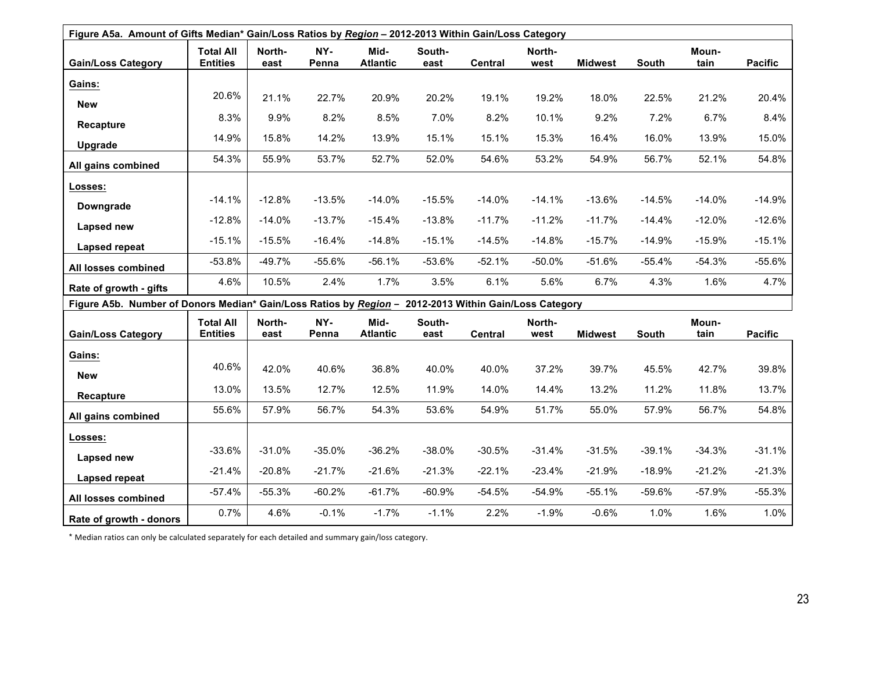| Figure A5a. Amount of Gifts Median* Gain/Loss Ratios by Region - 2012-2013 Within Gain/Loss Category  |                                     |                |              |                         |                |                |                |                |          |               |                |
|-------------------------------------------------------------------------------------------------------|-------------------------------------|----------------|--------------|-------------------------|----------------|----------------|----------------|----------------|----------|---------------|----------------|
| <b>Gain/Loss Category</b>                                                                             | <b>Total All</b><br><b>Entities</b> | North-<br>east | NY-<br>Penna | Mid-<br><b>Atlantic</b> | South-<br>east | <b>Central</b> | North-<br>west | <b>Midwest</b> | South    | Moun-<br>tain | <b>Pacific</b> |
| Gains:                                                                                                |                                     |                |              |                         |                |                |                |                |          |               |                |
| <b>New</b>                                                                                            | 20.6%                               | 21.1%          | 22.7%        | 20.9%                   | 20.2%          | 19.1%          | 19.2%          | 18.0%          | 22.5%    | 21.2%         | 20.4%          |
| Recapture                                                                                             | 8.3%                                | 9.9%           | 8.2%         | 8.5%                    | 7.0%           | 8.2%           | 10.1%          | 9.2%           | 7.2%     | 6.7%          | 8.4%           |
|                                                                                                       | 14.9%                               | 15.8%          | 14.2%        | 13.9%                   | 15.1%          | 15.1%          | 15.3%          | 16.4%          | 16.0%    | 13.9%         | 15.0%          |
| Upgrade                                                                                               | 54.3%                               | 55.9%          | 53.7%        | 52.7%                   | 52.0%          | 54.6%          | 53.2%          | 54.9%          | 56.7%    | 52.1%         | 54.8%          |
| All gains combined                                                                                    |                                     |                |              |                         |                |                |                |                |          |               |                |
| Losses:                                                                                               |                                     |                |              |                         |                |                |                |                |          |               |                |
| Downgrade                                                                                             | $-14.1%$                            | $-12.8%$       | $-13.5%$     | $-14.0%$                | $-15.5%$       | $-14.0%$       | $-14.1%$       | $-13.6%$       | $-14.5%$ | $-14.0%$      | $-14.9%$       |
| Lapsed new                                                                                            | $-12.8%$                            | $-14.0%$       | $-13.7%$     | $-15.4%$                | $-13.8%$       | $-11.7%$       | $-11.2%$       | $-11.7%$       | $-14.4%$ | $-12.0%$      | $-12.6%$       |
| Lapsed repeat                                                                                         | $-15.1%$                            | $-15.5%$       | $-16.4%$     | $-14.8%$                | $-15.1%$       | $-14.5%$       | $-14.8%$       | $-15.7%$       | $-14.9%$ | $-15.9%$      | $-15.1%$       |
| All losses combined                                                                                   | $-53.8%$                            | $-49.7%$       | $-55.6%$     | $-56.1%$                | $-53.6%$       | $-52.1%$       | $-50.0%$       | $-51.6%$       | $-55.4%$ | $-54.3%$      | $-55.6%$       |
| Rate of growth - gifts                                                                                | 4.6%                                | 10.5%          | 2.4%         | 1.7%                    | 3.5%           | 6.1%           | 5.6%           | 6.7%           | 4.3%     | 1.6%          | 4.7%           |
| Figure A5b. Number of Donors Median* Gain/Loss Ratios by Region - 2012-2013 Within Gain/Loss Category |                                     |                |              |                         |                |                |                |                |          |               |                |
|                                                                                                       | <b>Total All</b>                    | North-         | NY-          | Mid-                    | South-         |                | North-         |                |          | Moun-         |                |
| <b>Gain/Loss Category</b>                                                                             | <b>Entities</b>                     | east           | Penna        | <b>Atlantic</b>         | east           | <b>Central</b> | west           | <b>Midwest</b> | South    | tain          | <b>Pacific</b> |
| Gains:                                                                                                |                                     |                |              |                         |                |                |                |                |          |               |                |
| <b>New</b>                                                                                            | 40.6%                               | 42.0%          | 40.6%        | 36.8%                   | 40.0%          | 40.0%          | 37.2%          | 39.7%          | 45.5%    | 42.7%         | 39.8%          |
| Recapture                                                                                             | 13.0%                               | 13.5%          | 12.7%        | 12.5%                   | 11.9%          | 14.0%          | 14.4%          | 13.2%          | 11.2%    | 11.8%         | 13.7%          |
| All gains combined                                                                                    | 55.6%                               | 57.9%          | 56.7%        | 54.3%                   | 53.6%          | 54.9%          | 51.7%          | 55.0%          | 57.9%    | 56.7%         | 54.8%          |
| Losses:                                                                                               |                                     |                |              |                         |                |                |                |                |          |               |                |
| Lapsed new                                                                                            | $-33.6%$                            | $-31.0%$       | $-35.0%$     | $-36.2%$                | $-38.0%$       | $-30.5%$       | $-31.4%$       | $-31.5%$       | $-39.1%$ | $-34.3%$      | $-31.1%$       |
|                                                                                                       | $-21.4%$                            | $-20.8%$       | $-21.7%$     | $-21.6%$                | $-21.3%$       | $-22.1%$       | $-23.4%$       | $-21.9%$       | $-18.9%$ | $-21.2%$      | $-21.3%$       |
| Lapsed repeat                                                                                         | $-57.4%$                            | $-55.3%$       | $-60.2%$     | $-61.7%$                | $-60.9%$       | $-54.5%$       | $-54.9%$       | $-55.1%$       | $-59.6%$ | $-57.9%$      | $-55.3%$       |
| All losses combined                                                                                   |                                     |                |              |                         |                |                |                |                |          |               |                |
| Rate of growth - donors                                                                               | 0.7%                                | 4.6%           | $-0.1%$      | $-1.7%$                 | $-1.1%$        | 2.2%           | $-1.9%$        | $-0.6%$        | 1.0%     | 1.6%          | 1.0%           |

\* Median ratios can only be calculated separately for each detailed and summary gain/loss category.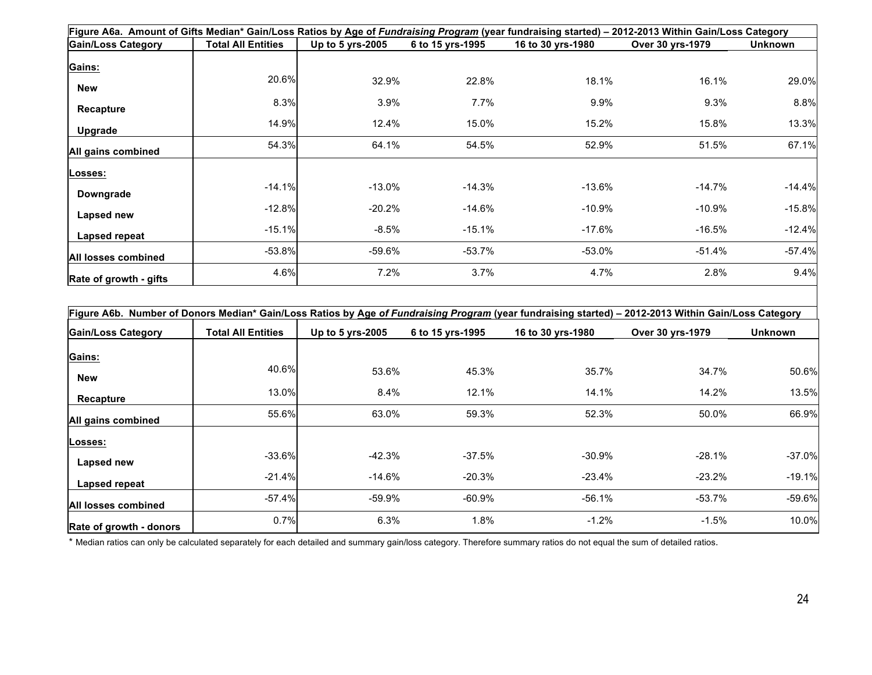| Figure A6a. Amount of Gifts Median* Gain/Loss Ratios by Age of Fundraising Program (year fundraising started) - 2012-2013 Within Gain/Loss Category |                           |                  |                  |                   |                  |          |  |  |  |  |
|-----------------------------------------------------------------------------------------------------------------------------------------------------|---------------------------|------------------|------------------|-------------------|------------------|----------|--|--|--|--|
| <b>Gain/Loss Category</b>                                                                                                                           | <b>Total All Entities</b> | Up to 5 yrs-2005 | 6 to 15 yrs-1995 | 16 to 30 yrs-1980 | Over 30 yrs-1979 | Unknown  |  |  |  |  |
| Gains:                                                                                                                                              |                           |                  |                  |                   |                  |          |  |  |  |  |
| New                                                                                                                                                 | 20.6%                     | 32.9%            | 22.8%            | 18.1%             | 16.1%            | 29.0%    |  |  |  |  |
| Recapture                                                                                                                                           | 8.3%                      | $3.9\%$          | 7.7%             | 9.9%              | 9.3%             | 8.8%     |  |  |  |  |
| Upgrade                                                                                                                                             | 14.9%                     | 12.4%            | 15.0%            | 15.2%             | 15.8%            | 13.3%    |  |  |  |  |
| All gains combined                                                                                                                                  | 54.3%                     | 64.1%            | 54.5%            | 52.9%             | 51.5%            | 67.1%    |  |  |  |  |
| Losses:                                                                                                                                             |                           |                  |                  |                   |                  |          |  |  |  |  |
| Downgrade                                                                                                                                           | $-14.1%$                  | $-13.0\%$        | $-14.3%$         | $-13.6\%$         | $-14.7\%$        | $-14.4%$ |  |  |  |  |
| Lapsed new                                                                                                                                          | $-12.8%$                  | $-20.2%$         | $-14.6\%$        | $-10.9\%$         | $-10.9\%$        | $-15.8%$ |  |  |  |  |
| Lapsed repeat                                                                                                                                       | $-15.1%$                  | $-8.5\%$         | $-15.1%$         | $-17.6\%$         | $-16.5%$         | $-12.4%$ |  |  |  |  |
| All losses combined                                                                                                                                 | $-53.8%$                  | -59.6%           | $-53.7\%$        | $-53.0\%$         | -51.4%           | $-57.4%$ |  |  |  |  |
| Rate of growth - gifts                                                                                                                              | 4.6%                      | 7.2%             | 3.7%             | 4.7%              | 2.8%             | 9.4%     |  |  |  |  |

| Figure A6b. Number of Donors Median* Gain/Loss Ratios by Age of Fundraising Program (year fundraising started) – 2012-2013 Within Gain/Loss Category |                           |                  |                  |                   |                  |                |  |  |  |  |
|------------------------------------------------------------------------------------------------------------------------------------------------------|---------------------------|------------------|------------------|-------------------|------------------|----------------|--|--|--|--|
| <b>Gain/Loss Category</b>                                                                                                                            | <b>Total All Entities</b> | Up to 5 yrs-2005 | 6 to 15 yrs-1995 | 16 to 30 yrs-1980 | Over 30 yrs-1979 | <b>Unknown</b> |  |  |  |  |
| Gains:                                                                                                                                               |                           |                  |                  |                   |                  |                |  |  |  |  |
| <b>New</b>                                                                                                                                           | 40.6%                     | 53.6%            | 45.3%            | 35.7%             | 34.7%            | 50.6%          |  |  |  |  |
| Recapture                                                                                                                                            | 13.0%                     | 8.4%             | 12.1%            | 14.1%             | 14.2%            | 13.5%          |  |  |  |  |
| All gains combined                                                                                                                                   | 55.6%                     | 63.0%            | 59.3%            | 52.3%             | 50.0%            | 66.9%          |  |  |  |  |
| Losses:                                                                                                                                              |                           |                  |                  |                   |                  |                |  |  |  |  |
| Lapsed new                                                                                                                                           | $-33.6%$                  | $-42.3%$         | $-37.5%$         | $-30.9\%$         | $-28.1\%$        | $-37.0%$       |  |  |  |  |
| Lapsed repeat                                                                                                                                        | $-21.4%$                  | $-14.6%$         | $-20.3%$         | $-23.4%$          | $-23.2%$         | $-19.1%$       |  |  |  |  |
| All losses combined                                                                                                                                  | $-57.4\%$                 | $-59.9%$         | $-60.9\%$        | $-56.1%$          | $-53.7\%$        | $-59.6%$       |  |  |  |  |
| Rate of growth - donors                                                                                                                              | 0.7%                      | 6.3%             | 1.8%             | $-1.2%$           | $-1.5%$          | 10.0%          |  |  |  |  |

\* Median ratios can only be calculated separately for each detailed and summary gain/loss category. Therefore summary ratios do not equal the sum of detailed ratios.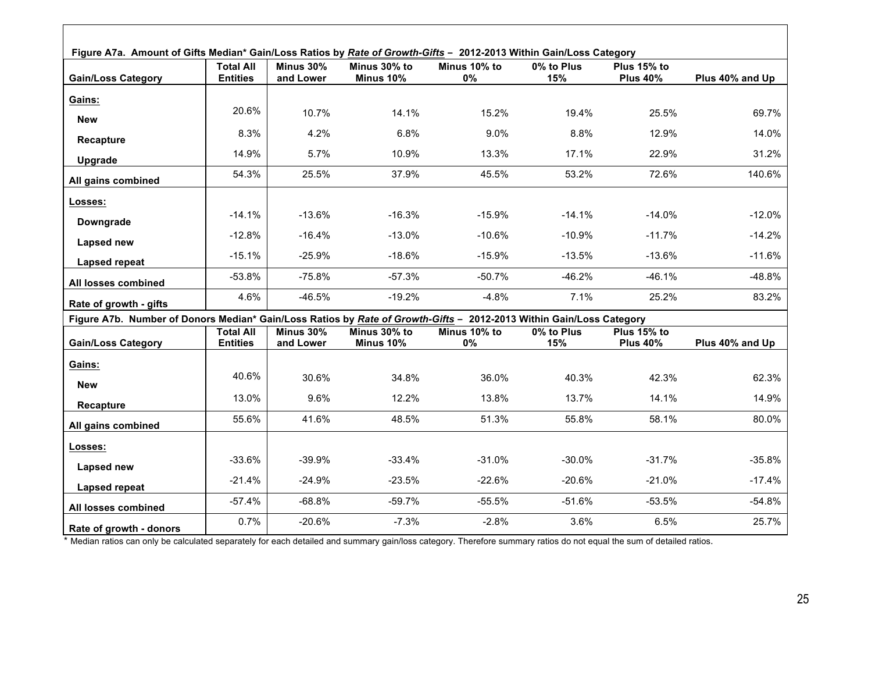| Figure A7a. Amount of Gifts Median* Gain/Loss Ratios by Rate of Growth-Gifts - 2012-2013 Within Gain/Loss Category  |                                     |                        |                           |                    |                   |                                |                 |  |  |
|---------------------------------------------------------------------------------------------------------------------|-------------------------------------|------------------------|---------------------------|--------------------|-------------------|--------------------------------|-----------------|--|--|
| <b>Gain/Loss Category</b>                                                                                           | <b>Total All</b><br><b>Entities</b> | Minus 30%<br>and Lower | Minus 30% to<br>Minus 10% | Minus 10% to<br>0% | 0% to Plus<br>15% | Plus 15% to<br><b>Plus 40%</b> | Plus 40% and Up |  |  |
| Gains:                                                                                                              |                                     |                        |                           |                    |                   |                                |                 |  |  |
| <b>New</b>                                                                                                          | 20.6%                               | 10.7%                  | 14.1%                     | 15.2%              | 19.4%             | 25.5%                          | 69.7%           |  |  |
| Recapture                                                                                                           | 8.3%                                | 4.2%                   | 6.8%                      | 9.0%               | 8.8%              | 12.9%                          | 14.0%           |  |  |
| Upgrade                                                                                                             | 14.9%                               | 5.7%                   | 10.9%                     | 13.3%              | 17.1%             | 22.9%                          | 31.2%           |  |  |
| All gains combined                                                                                                  | 54.3%                               | 25.5%                  | 37.9%                     | 45.5%              | 53.2%             | 72.6%                          | 140.6%          |  |  |
| Losses:                                                                                                             |                                     |                        |                           |                    |                   |                                |                 |  |  |
| Downgrade                                                                                                           | $-14.1%$                            | $-13.6%$               | $-16.3%$                  | $-15.9%$           | $-14.1%$          | $-14.0%$                       | $-12.0%$        |  |  |
| Lapsed new                                                                                                          | $-12.8%$                            | $-16.4%$               | $-13.0%$                  | $-10.6%$           | $-10.9%$          | $-11.7%$                       | $-14.2%$        |  |  |
| Lapsed repeat                                                                                                       | $-15.1%$                            | $-25.9%$               | $-18.6%$                  | $-15.9%$           | $-13.5%$          | $-13.6%$                       | $-11.6%$        |  |  |
| All losses combined                                                                                                 | $-53.8%$                            | $-75.8%$               | $-57.3%$                  | $-50.7%$           | $-46.2%$          | $-46.1%$                       | $-48.8%$        |  |  |
| Rate of growth - gifts                                                                                              | 4.6%                                | $-46.5%$               | $-19.2%$                  | $-4.8%$            | 7.1%              | 25.2%                          | 83.2%           |  |  |
| Figure A7b. Number of Donors Median* Gain/Loss Ratios by Rate of Growth-Gifts - 2012-2013 Within Gain/Loss Category |                                     |                        |                           |                    |                   |                                |                 |  |  |
| <b>Gain/Loss Category</b>                                                                                           | <b>Total All</b><br><b>Entities</b> | Minus 30%<br>and Lower | Minus 30% to<br>Minus 10% | Minus 10% to<br>0% | 0% to Plus<br>15% | Plus 15% to<br><b>Plus 40%</b> | Plus 40% and Up |  |  |
| Gains:                                                                                                              |                                     |                        |                           |                    |                   |                                |                 |  |  |
| <b>New</b>                                                                                                          | 40.6%                               | 30.6%                  | 34.8%                     | 36.0%              | 40.3%             | 42.3%                          | 62.3%           |  |  |
| Recapture                                                                                                           | 13.0%                               | 9.6%                   | 12.2%                     | 13.8%              | 13.7%             | 14.1%                          | 14.9%           |  |  |
| All gains combined                                                                                                  | 55.6%                               | 41.6%                  | 48.5%                     | 51.3%              | 55.8%             | 58.1%                          | 80.0%           |  |  |
|                                                                                                                     |                                     |                        |                           |                    |                   |                                |                 |  |  |
| Losses:                                                                                                             | $-33.6%$                            | $-39.9%$               | $-33.4%$                  | $-31.0%$           | $-30.0\%$         | $-31.7%$                       | $-35.8%$        |  |  |
| Lapsed new                                                                                                          | $-21.4%$                            | $-24.9%$               | $-23.5%$                  | $-22.6%$           | $-20.6%$          | $-21.0%$                       | $-17.4%$        |  |  |
| Lapsed repeat                                                                                                       |                                     |                        |                           |                    |                   |                                |                 |  |  |
| All losses combined                                                                                                 | $-57.4%$                            | $-68.8%$               | $-59.7%$                  | $-55.5%$           | $-51.6%$          | $-53.5%$                       | $-54.8%$        |  |  |
| Rate of growth - donors                                                                                             | 0.7%                                | $-20.6%$               | $-7.3%$                   | $-2.8%$            | 3.6%              | 6.5%                           | 25.7%           |  |  |

 $\Gamma$ 

\* Median ratios can only be calculated separately for each detailed and summary gain/loss category. Therefore summary ratios do not equal the sum of detailed ratios.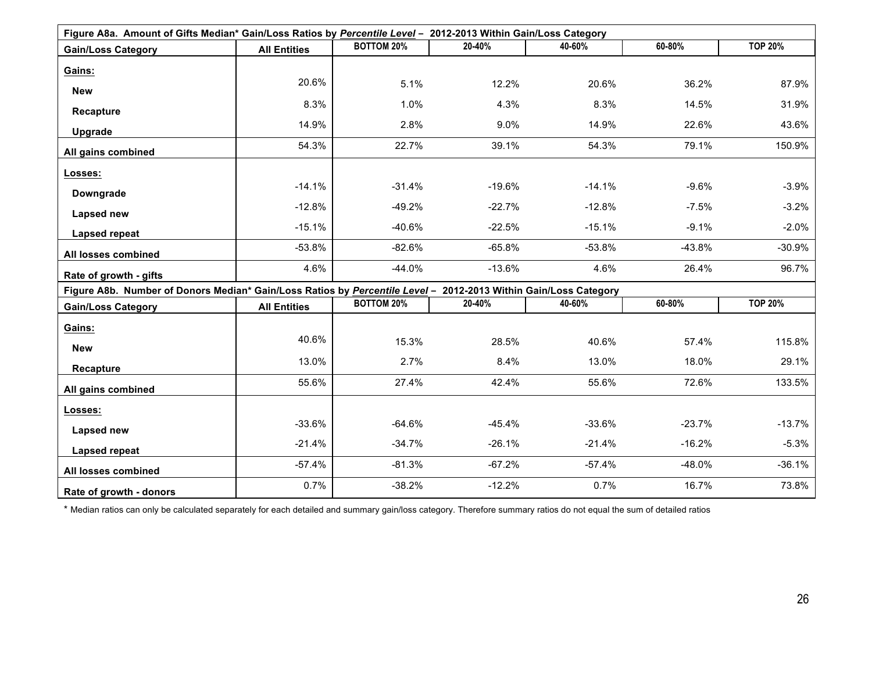| Figure A8a. Amount of Gifts Median* Gain/Loss Ratios by Percentile Level - 2012-2013 Within Gain/Loss Category  |                     |                   |          |          |          |                |  |  |  |
|-----------------------------------------------------------------------------------------------------------------|---------------------|-------------------|----------|----------|----------|----------------|--|--|--|
| <b>Gain/Loss Category</b>                                                                                       | <b>All Entities</b> | <b>BOTTOM 20%</b> | 20-40%   | 40-60%   | 60-80%   | <b>TOP 20%</b> |  |  |  |
| Gains:                                                                                                          |                     |                   |          |          |          |                |  |  |  |
| <b>New</b>                                                                                                      | 20.6%               | 5.1%              | 12.2%    | 20.6%    | 36.2%    | 87.9%          |  |  |  |
|                                                                                                                 | 8.3%                | 1.0%              | 4.3%     | 8.3%     | 14.5%    | 31.9%          |  |  |  |
| Recapture                                                                                                       | 14.9%               | 2.8%              | $9.0\%$  | 14.9%    | 22.6%    | 43.6%          |  |  |  |
| Upgrade                                                                                                         | 54.3%               | 22.7%             | 39.1%    | 54.3%    | 79.1%    | 150.9%         |  |  |  |
| All gains combined                                                                                              |                     |                   |          |          |          |                |  |  |  |
| Losses:                                                                                                         |                     |                   |          |          |          |                |  |  |  |
| Downgrade                                                                                                       | $-14.1%$            | $-31.4%$          | $-19.6%$ | $-14.1%$ | $-9.6%$  | $-3.9%$        |  |  |  |
| Lapsed new                                                                                                      | $-12.8%$            | $-49.2%$          | $-22.7%$ | $-12.8%$ | $-7.5%$  | $-3.2%$        |  |  |  |
|                                                                                                                 | $-15.1%$            | $-40.6%$          | $-22.5%$ | $-15.1%$ | $-9.1%$  | $-2.0%$        |  |  |  |
| Lapsed repeat                                                                                                   | $-53.8%$            | $-82.6%$          | $-65.8%$ | $-53.8%$ | $-43.8%$ | $-30.9%$       |  |  |  |
| All losses combined                                                                                             |                     |                   |          |          |          |                |  |  |  |
| Rate of growth - gifts                                                                                          | 4.6%                | $-44.0%$          | $-13.6%$ | 4.6%     | 26.4%    | 96.7%          |  |  |  |
| Figure A8b. Number of Donors Median* Gain/Loss Ratios by Percentile Level - 2012-2013 Within Gain/Loss Category |                     |                   |          |          |          |                |  |  |  |
| <b>Gain/Loss Category</b>                                                                                       | <b>All Entities</b> | <b>BOTTOM 20%</b> | 20-40%   | 40-60%   | 60-80%   | <b>TOP 20%</b> |  |  |  |
| Gains:                                                                                                          |                     |                   |          |          |          |                |  |  |  |
| <b>New</b>                                                                                                      | 40.6%               | 15.3%             | 28.5%    | 40.6%    | 57.4%    | 115.8%         |  |  |  |
| Recapture                                                                                                       | 13.0%               | 2.7%              | 8.4%     | 13.0%    | 18.0%    | 29.1%          |  |  |  |
| All gains combined                                                                                              | 55.6%               | 27.4%             | 42.4%    | 55.6%    | 72.6%    | 133.5%         |  |  |  |
|                                                                                                                 |                     |                   |          |          |          |                |  |  |  |
| Losses:                                                                                                         | $-33.6%$            | $-64.6%$          | $-45.4%$ | $-33.6%$ | $-23.7%$ | $-13.7%$       |  |  |  |
| Lapsed new                                                                                                      |                     |                   |          |          |          |                |  |  |  |
| Lapsed repeat                                                                                                   | $-21.4%$            | $-34.7%$          | $-26.1%$ | $-21.4%$ | $-16.2%$ | $-5.3%$        |  |  |  |
| All losses combined                                                                                             | $-57.4%$            | $-81.3%$          | $-67.2%$ | $-57.4%$ | $-48.0%$ | $-36.1%$       |  |  |  |
| Rate of growth - donors                                                                                         | 0.7%                | $-38.2%$          | $-12.2%$ | 0.7%     | 16.7%    | 73.8%          |  |  |  |

\* Median ratios can only be calculated separately for each detailed and summary gain/loss category. Therefore summary ratios do not equal the sum of detailed ratios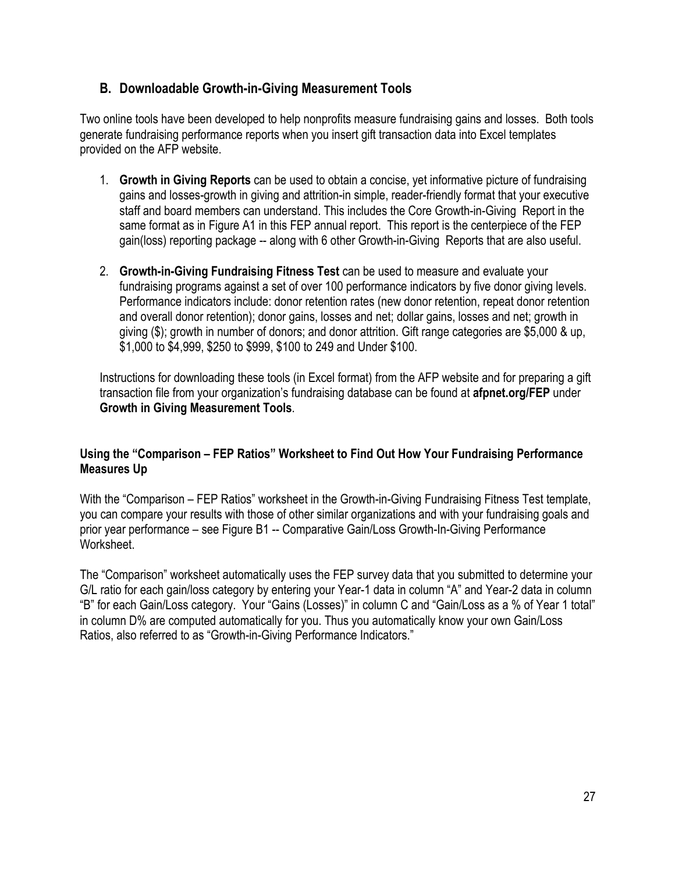## **B. Downloadable Growth-in-Giving Measurement Tools**

Two online tools have been developed to help nonprofits measure fundraising gains and losses. Both tools generate fundraising performance reports when you insert gift transaction data into Excel templates provided on the AFP website.

- 1. **Growth in Giving Reports** can be used to obtain a concise, yet informative picture of fundraising gains and losses-growth in giving and attrition-in simple, reader-friendly format that your executive staff and board members can understand. This includes the Core Growth-in-Giving Report in the same format as in Figure A1 in this FEP annual report. This report is the centerpiece of the FEP gain(loss) reporting package -- along with 6 other Growth-in-Giving Reports that are also useful.
- 2. **Growth-in-Giving Fundraising Fitness Test** can be used to measure and evaluate your fundraising programs against a set of over 100 performance indicators by five donor giving levels. Performance indicators include: donor retention rates (new donor retention, repeat donor retention and overall donor retention); donor gains, losses and net; dollar gains, losses and net; growth in giving (\$); growth in number of donors; and donor attrition. Gift range categories are \$5,000 & up, \$1,000 to \$4,999, \$250 to \$999, \$100 to 249 and Under \$100.

Instructions for downloading these tools (in Excel format) from the AFP website and for preparing a gift transaction file from your organization's fundraising database can be found at **afpnet.org/FEP** under **Growth in Giving Measurement Tools**.

## **Using the "Comparison – FEP Ratios" Worksheet to Find Out How Your Fundraising Performance Measures Up**

With the "Comparison – FEP Ratios" worksheet in the Growth-in-Giving Fundraising Fitness Test template, you can compare your results with those of other similar organizations and with your fundraising goals and prior year performance – see Figure B1 -- Comparative Gain/Loss Growth-In-Giving Performance Worksheet.

The "Comparison" worksheet automatically uses the FEP survey data that you submitted to determine your G/L ratio for each gain/loss category by entering your Year-1 data in column "A" and Year-2 data in column "B" for each Gain/Loss category. Your "Gains (Losses)" in column C and "Gain/Loss as a % of Year 1 total" in column D% are computed automatically for you. Thus you automatically know your own Gain/Loss Ratios, also referred to as "Growth-in-Giving Performance Indicators."